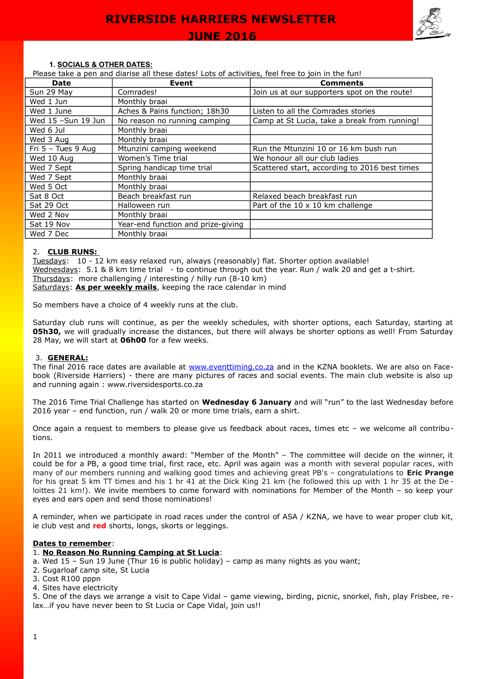

#### **1. SOCIALS & OTHER DATES:**

Please take a pen and diarise all these dates! Lots of activities, feel free to join in the fun!

| Date                   | <b>Event</b>                       | <b>Comments</b>                               |
|------------------------|------------------------------------|-----------------------------------------------|
| Sun 29 May             | Comrades!                          | Join us at our supporters spot on the route!  |
| Wed 1 Jun              | Monthly braai                      |                                               |
| Wed 1 June             | Aches & Pains function; 18h30      | Listen to all the Comrades stories            |
| Wed $15$ -Sun $19$ Jun | No reason no running camping       | Camp at St Lucia, take a break from running!  |
| Wed 6 Jul              | Monthly braai                      |                                               |
| Wed 3 Aug              | Monthly braai                      |                                               |
| Fri $5 -$ Tues 9 Aug   | Mtunzini camping weekend           | Run the Mtunzini 10 or 16 km bush run         |
| Wed 10 Aug             | Women's Time trial                 | We honour all our club ladies                 |
| Wed 7 Sept             | Spring handicap time trial         | Scattered start, according to 2016 best times |
| Wed 7 Sept             | Monthly braai                      |                                               |
| Wed 5 Oct              | Monthly braai                      |                                               |
| Sat 8 Oct              | Beach breakfast run                | Relaxed beach breakfast run                   |
| Sat 29 Oct             | Halloween run                      | Part of the $10 \times 10$ km challenge       |
| Wed 2 Nov              | Monthly braai                      |                                               |
| Sat 19 Nov             | Year-end function and prize-giving |                                               |
| Wed 7 Dec              | Monthly braai                      |                                               |

#### 2. **CLUB RUNS:**

Tuesdays: 10 - 12 km easy relaxed run, always (reasonably) flat. Shorter option available! Wednesdays: 5.1 & 8 km time trial - to continue through out the year. Run / walk 20 and get a t-shirt. Thursdays: more challenging / interesting / hilly run (8-10 km) Saturdays: As per weekly mails, keeping the race calendar in mind

So members have a choice of 4 weekly runs at the club.

Saturday club runs will continue, as per the weekly schedules, with shorter options, each Saturday, starting at **05h30,** we will gradually increase the distances, but there will always be shorter options as well! From Saturday 28 May, we will start at **06h00** for a few weeks.

#### 3. **GENERAL:**

The final 2016 race dates are available at [www.eventtiming.co.za](http://www.eventtiming.co.za/) and in the KZNA booklets. We are also on Facebook (Riverside Harriers) - there are many pictures of races and social events. The main club website is also up and running again : www.riversidesports.co.za

The 2016 Time Trial Challenge has started on **Wednesday 6 January** and will "run" to the last Wednesday before 2016 year – end function, run / walk 20 or more time trials, earn a shirt.

Once again a request to members to please give us feedback about races, times etc – we welcome all contributions.

In 2011 we introduced a monthly award: "Member of the Month" – The committee will decide on the winner, it could be for a PB, a good time trial, first race, etc. April was again was a month with several popular races, with many of our members running and walking good times and achieving great PB's – congratulations to **Eric Prange** for his great 5 km TT times and his 1 hr 41 at the Dick King 21 km (he followed this up with 1 hr 35 at the De loittes 21 km!). We invite members to come forward with nominations for Member of the Month – so keep your eyes and ears open and send those nominations!

A reminder, when we participate in road races under the control of ASA / KZNA, we have to wear proper club kit, ie club vest and **red** shorts, longs, skorts or leggings.

#### **Dates to remember**:

## 1. **No Reason No Running Camping at St Lucia**:

- a. Wed 15 Sun 19 June (Thur 16 is public holiday) camp as many nights as you want;
- 2. Sugarloaf camp site, St Lucia
- 3. Cost R100 pppn
- 4. Sites have electricity

5. One of the days we arrange a visit to Cape Vidal – game viewing, birding, picnic, snorkel, fish, play Frisbee, relax... if you have never been to St Lucia or Cape Vidal, join us!!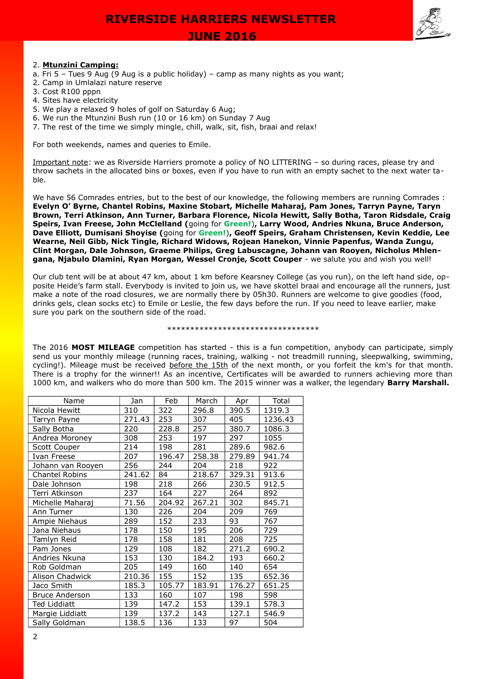

## 2. **Mtunzini Camping:**

- a. Fri 5 Tues 9 Aug (9 Aug is a public holiday) camp as many nights as you want;
- 2. Camp in Umlalazi nature reserve
- 3. Cost R100 pppn
- 4. Sites have electricity
- 5. We play a relaxed 9 holes of golf on Saturday 6 Aug;
- 6. We run the Mtunzini Bush run (10 or 16 km) on Sunday 7 Aug
- 7. The rest of the time we simply mingle, chill, walk, sit, fish, braai and relax!

For both weekends, names and queries to Emile.

Important note: we as Riverside Harriers promote a policy of NO LITTERING – so during races, please try and throw sachets in the allocated bins or boxes, even if you have to run with an empty sachet to the next water table.

We have 56 Comrades entries, but to the best of our knowledge, the following members are running Comrades : **Evelyn O' Byrne, Chantel Robins, Maxine Stobart, Michelle Maharaj, Pam Jones, Tarryn Payne, Taryn Brown, Terri Atkinson, Ann Turner, Barbara Florence, Nicola Hewitt, Sally Botha, Taron Ridsdale, Craig Speirs, Ivan Freese, John McClelland (**going for **Green!**)**, Larry Wood, Andries Nkuna, Bruce Anderson, Dave Elliott, Dumisani Shoyise (**going for **Green!**)**, Geoff Speirs, Graham Christensen, Kevin Keddie, Lee Wearne, Neil Gibb, Nick Tingle, Richard Widows, Rojean Hanekon, Vinnie Papenfus, Wanda Zungu, Clint Morgan, Dale Johnson, Graeme Philips, Greg Labuscagne, Johann van Rooyen, Nicholus Mhlengana, Njabulo Dlamini, Ryan Morgan, Wessel Cronje, Scott Couper** - we salute you and wish you well!

Our club tent will be at about 47 km, about 1 km before Kearsney College (as you run), on the left hand side, opposite Heide's farm stall. Everybody is invited to join us, we have skottel braai and encourage all the runners, just make a note of the road closures, we are normally there by 05h30. Runners are welcome to give goodies (food, drinks gels, clean socks etc) to Emile or Leslie, the few days before the run. If you need to leave earlier, make sure you park on the southern side of the road.

#### \*\*\*\*\*\*\*\*\*\*\*\*\*\*\*\*\*\*\*\*\*\*\*\*\*\*\*\*\*\*\*\*\*

The 2016 **MOST MILEAGE** competition has started - this is a fun competition, anybody can participate, simply send us your monthly mileage (running races, training, walking - not treadmill running, sleepwalking, swimming, cycling!). Mileage must be received before the 15th of the next month, or you forfeit the km's for that month. There is a trophy for the winner!! As an incentive, Certificates will be awarded to runners achieving more than 1000 km, and walkers who do more than 500 km. The 2015 winner was a walker, the legendary **Barry Marshall.**

| Name                  | Jan    | Feb    | March  | Apr    | Total   |
|-----------------------|--------|--------|--------|--------|---------|
| Nicola Hewitt         | 310    | 322    | 296.8  | 390.5  | 1319.3  |
| Tarryn Payne          | 271.43 | 253    | 307    | 405    | 1236.43 |
| Sally Botha           | 220    | 228.8  | 257    | 380.7  | 1086.3  |
| Andrea Moroney        | 308    | 253    | 197    | 297    | 1055    |
| Scott Couper          | 214    | 198    | 281    | 289.6  | 982.6   |
| Ivan Freese           | 207    | 196.47 | 258.38 | 279.89 | 941.74  |
| Johann van Rooyen     | 256    | 244    | 204    | 218    | 922     |
| <b>Chantel Robins</b> | 241.62 | 84     | 218.67 | 329.31 | 913.6   |
| Dale Johnson          | 198    | 218    | 266    | 230.5  | 912.5   |
| Terri Atkinson        | 237    | 164    | 227    | 264    | 892     |
| Michelle Maharaj      | 71.56  | 204.92 | 267.21 | 302    | 845.71  |
| Ann Turner            | 130    | 226    | 204    | 209    | 769     |
| Ampie Niehaus         | 289    | 152    | 233    | 93     | 767     |
| Jana Niehaus          | 178    | 150    | 195    | 206    | 729     |
| Tamlyn Reid           | 178    | 158    | 181    | 208    | 725     |
| Pam Jones             | 129    | 108    | 182    | 271.2  | 690.2   |
| Andries Nkuna         | 153    | 130    | 184.2  | 193    | 660.2   |
| Rob Goldman           | 205    | 149    | 160    | 140    | 654     |
| Alison Chadwick       | 210.36 | 155    | 152    | 135    | 652.36  |
| Jaco Smith            | 185.3  | 105.77 | 183.91 | 176.27 | 651.25  |
| <b>Bruce Anderson</b> | 133    | 160    | 107    | 198    | 598     |
| <b>Ted Liddiatt</b>   | 139    | 147.2  | 153    | 139.1  | 578.3   |
| Margie Liddiatt       | 139    | 137.2  | 143    | 127.1  | 546.9   |
| Sally Goldman         | 138.5  | 136    | 133    | 97     | 504     |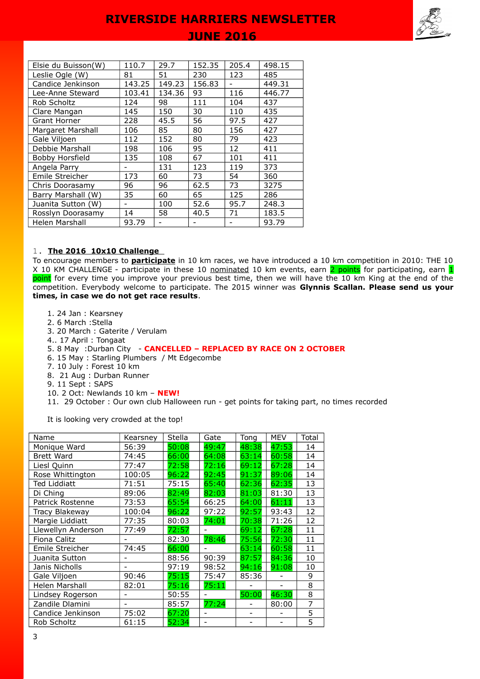## **JUNE 2016**

| 110.7  | 29.7   | 152.35 | 205.4 | 498.15 |
|--------|--------|--------|-------|--------|
| 81     | 51     | 230    | 123   | 485    |
| 143.25 | 149.23 | 156.83 |       | 449.31 |
| 103.41 | 134.36 | 93     | 116   | 446.77 |
| 124    | 98     | 111    | 104   | 437    |
| 145    | 150    | 30     | 110   | 435    |
| 228    | 45.5   | 56     | 97.5  | 427    |
| 106    | 85     | 80     | 156   | 427    |
| 112    | 152    | 80     | 79    | 423    |
| 198    | 106    | 95     | 12    | 411    |
| 135    | 108    | 67     | 101   | 411    |
|        | 131    | 123    | 119   | 373    |
| 173    | 60     | 73     | 54    | 360    |
| 96     | 96     | 62.5   | 73    | 3275   |
| 35     | 60     | 65     | 125   | 286    |
|        | 100    | 52.6   | 95.7  | 248.3  |
| 14     | 58     | 40.5   | 71    | 183.5  |
| 93.79  |        |        |       | 93.79  |
|        |        |        |       |        |

#### 1. **The 2016 10x10 Challenge**

To encourage members to **participate** in 10 km races, we have introduced a 10 km competition in 2010: THE 10 X 10 KM CHALLENGE - participate in these 10 nominated 10 km events, earn 2 points for participating, earn 1 point for every time you improve your previous best time, then we will have the 10 km King at the end of the competition. Everybody welcome to participate. The 2015 winner was **Glynnis Scallan. Please send us your times, in case we do not get race results**.

- 1. 24 Jan : Kearsney
- 2. 6 March :Stella
- 3. 20 March : Gaterite / Verulam
- 4.. 17 April : Tongaat
- 5. 8 May :Durban City **CANCELLED REPLACED BY RACE ON 2 OCTOBER**
- 6. 15 May : Starling Plumbers / Mt Edgecombe
- 7. 10 July : Forest 10 km
- 8. 21 Aug : Durban Runner
- 9. 11 Sept : SAPS
- 10. 2 Oct: Newlands 10 km **NEW!**
- 11. 29 October : Our own club Halloween run get points for taking part, no times recorded

It is looking very crowded at the top!

| Name                | Kearsney | Stella | Gate  | Tong  | <b>MEV</b> | Total |
|---------------------|----------|--------|-------|-------|------------|-------|
| Monique Ward        | 56:39    | 50:08  | 49:47 | 48:38 | 47:53      | 14    |
| <b>Brett Ward</b>   | 74:45    | 66:00  | 64:08 | 63:14 | 60:58      | 14    |
| Liesl Quinn         | 77:47    | 72:58  | 72:16 | 69:12 | 67:28      | 14    |
| Rose Whittington    | 100:05   | 96:22  | 92:45 | 91:37 | 89:06      | 14    |
| <b>Ted Liddiatt</b> | 71:51    | 75:15  | 65:40 | 62:36 | 62:35      | 13    |
| Di Ching            | 89:06    | 82:49  | 82:03 | 81:03 | 81:30      | 13    |
| Patrick Rostenne    | 73:53    | 65:54  | 66:25 | 64:00 | 61:11      | 13    |
| Tracy Blakeway      | 100:04   | 96:22  | 97:22 | 92:57 | 93:43      | 12    |
| Margie Liddiatt     | 77:35    | 80:03  | 74:01 | 70:38 | 71:26      | 12    |
| Llewellyn Anderson  | 77:49    | 72:57  |       | 69:12 | 67:28      | 11    |
| Fiona Calitz        |          | 82:30  | 78:46 | 75:56 | 72:30      | 11    |
| Emile Streicher     | 74:45    | 66:00  |       | 63:14 | 60:58      | 11    |
| Juanita Sutton      |          | 88:56  | 90:39 | 87:57 | 84:36      | 10    |
| Janis Nicholls      |          | 97:19  | 98:52 | 94:16 | 91:08      | 10    |
| Gale Viljoen        | 90:46    | 75:15  | 75:47 | 85:36 |            | 9     |
| Helen Marshall      | 82:01    | 75:16  | 75:11 |       |            | 8     |
| Lindsey Rogerson    |          | 50:55  |       | 50:00 | 46:30      | 8     |
| Zandile Dlamini     |          | 85:57  | 77:24 |       | 80:00      | 7     |
| Candice Jenkinson   | 75:02    | 67:20  |       |       |            | 5     |
| Rob Scholtz         | 61:15    | 52:34  |       |       |            | 5     |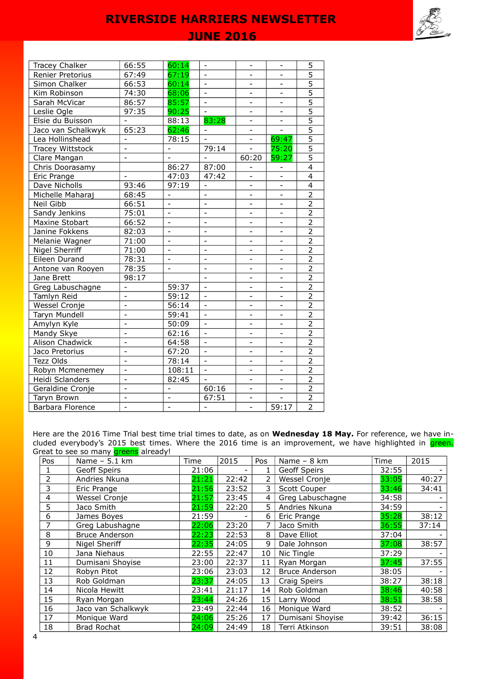## **JUNE 2016**

| <b>Tracey Chalker</b>  | 66:55                    | 60:14                        | $\overline{\phantom{a}}$ | $\overline{\phantom{0}}$ | $\overline{\phantom{a}}$ | 5                       |
|------------------------|--------------------------|------------------------------|--------------------------|--------------------------|--------------------------|-------------------------|
| Renier Pretorius       | 67:49                    | 67:19                        |                          | ÷,                       | $\overline{\phantom{0}}$ | $\overline{5}$          |
| Simon Chalker          | 66:53                    | 60:14                        |                          |                          | L,                       | $\overline{5}$          |
| Kim Robinson           | 74:30                    | 68:06                        |                          | $\overline{\phantom{0}}$ | $\overline{a}$           | $\overline{5}$          |
| Sarah McVicar          | 86:57                    | 85:57                        |                          | $\overline{\phantom{0}}$ | $\overline{\phantom{0}}$ | $\overline{5}$          |
| Leslie Ogle            | 97:35                    | 90:25                        |                          |                          |                          | $\overline{5}$          |
| Elsie du Buisson       |                          | 88:13                        | 83:28                    | $\overline{a}$           | $\overline{\phantom{0}}$ | $\overline{5}$          |
| Jaco van Schalkwyk     | 65:23                    | 62:46                        |                          |                          | Ξ                        | $\overline{5}$          |
| Lea Hollinshead        | $\overline{a}$           | 78:15                        | $\overline{a}$           | $\overline{a}$           | 69:47                    | $\overline{5}$          |
| Tracey Wittstock       | $\overline{a}$           | $\blacksquare$               | 79:14                    | $\overline{a}$           | 75:20                    | $\overline{5}$          |
| Clare Mangan           | $\blacksquare$           | $\overline{\phantom{a}}$     | $\equiv$                 | 60:20                    | 59:27                    | $\overline{5}$          |
| Chris Doorasamy        |                          | 86:27                        | 87:00                    | $\overline{\phantom{0}}$ | $\overline{\phantom{a}}$ | $\overline{4}$          |
| Eric Prange            | $\blacksquare$           | 47:03                        | 47:42                    | $\blacksquare$           | $\overline{\phantom{0}}$ | $\overline{4}$          |
| Dave Nicholls          | 93:46                    | 97:19                        | $\overline{\phantom{a}}$ | $\overline{\phantom{0}}$ | $\blacksquare$           | $\overline{\mathbf{4}}$ |
| Michelle Maharaj       | 68:45                    | $\overline{\phantom{a}}$     | $\overline{\phantom{0}}$ | ÷,                       | $\overline{\phantom{a}}$ | $\overline{2}$          |
| Neil Gibb              | 66:51                    | $\overline{\phantom{a}}$     | $\blacksquare$           | $\overline{\phantom{0}}$ | $\overline{\phantom{a}}$ | $\overline{2}$          |
| Sandy Jenkins          | 75:01                    | $\blacksquare$               | $\blacksquare$           | $\overline{\phantom{0}}$ | $\overline{\phantom{0}}$ | $\overline{2}$          |
| Maxine Stobart         | 66:52                    | $\overline{\phantom{0}}$     | $\overline{\phantom{0}}$ | ÷                        | $\overline{\phantom{a}}$ | $\overline{2}$          |
| Janine Fokkens         | 82:03                    | $\qquad \qquad \blacksquare$ | $\overline{\phantom{0}}$ | $\overline{\phantom{0}}$ | $\overline{\phantom{a}}$ | $\overline{2}$          |
| Melanie Wagner         | 71:00                    | $\overline{a}$               | $\overline{a}$           | $\overline{\phantom{0}}$ | $\blacksquare$           | $\overline{2}$          |
| <b>Nigel Sherriff</b>  | 71:00                    | $\overline{\phantom{a}}$     | $\blacksquare$           | $\blacksquare$           | $\overline{\phantom{0}}$ | $\overline{2}$          |
| Eileen Durand          | 78:31                    | $\overline{a}$               | $\overline{a}$           | $\overline{\phantom{0}}$ | $\overline{\phantom{0}}$ | $\overline{2}$          |
| Antone van Rooyen      | 78:35                    | $\blacksquare$               | $\overline{\phantom{0}}$ | ÷,                       | $\overline{\phantom{0}}$ | $\frac{2}{2}$           |
| Jane Brett             | 98:17                    |                              | $\overline{a}$           | ÷,                       | $\overline{\phantom{0}}$ |                         |
| Greg Labuschagne       | $\overline{\phantom{0}}$ | 59:37                        | $\overline{a}$           | $\overline{a}$           | $\overline{\phantom{0}}$ |                         |
| Tamlyn Reid            | $\overline{a}$           | 59:12                        |                          | $\overline{a}$           | $\overline{a}$           | $\overline{2}$          |
| Wessel Cronje          | $\overline{a}$           | 56:14                        |                          | ÷,                       | $\overline{\phantom{0}}$ | $\overline{2}$          |
| Taryn Mundell          | $\overline{a}$           | 59:41                        |                          | $\overline{\phantom{0}}$ | $\overline{\phantom{0}}$ | $\overline{2}$          |
| Amylyn Kyle            | $\overline{\phantom{0}}$ | 50:09                        |                          |                          |                          | $\overline{2}$          |
| Mandy Skye             | $\overline{a}$           | 62:16                        | $\overline{a}$           |                          | $\overline{a}$           | $\overline{2}$          |
| <b>Alison Chadwick</b> | $\overline{a}$           | 64:58                        |                          | $\overline{a}$           | $\overline{a}$           | $\overline{2}$          |
| Jaco Pretorius         | $\overline{a}$           | 67:20                        | $\equiv$                 | $\overline{a}$           | $\overline{\phantom{0}}$ | $\overline{2}$          |
| Tezz Olds              | $\overline{a}$           | 78:14                        | $\Box$                   | $\overline{\phantom{0}}$ | $\blacksquare$           | $\overline{2}$          |
| Robyn Mcmenemey        | $\overline{a}$           | 108:11                       | $\equiv$                 | $\blacksquare$           | $\blacksquare$           | $\overline{2}$          |
| Heidi Sclanders        | $\overline{\phantom{0}}$ | 82:45                        | $\blacksquare$           | $\blacksquare$           | $\overline{\phantom{a}}$ | $\overline{2}$          |
| Geraldine Cronje       | $\overline{\phantom{0}}$ | $\overline{\phantom{a}}$     | 60:16                    | $\overline{\phantom{0}}$ | $\overline{\phantom{a}}$ | $\overline{2}$          |
| Taryn Brown            | $\overline{a}$           | $\blacksquare$               | 67:51                    | $\blacksquare$           | $\frac{1}{2}$            | $\overline{2}$          |
| Barbara Florence       | $\frac{1}{2}$            | $\overline{\phantom{a}}$     | $\frac{1}{2}$            | $\blacksquare$           | 59:17                    | $\overline{2}$          |

Here are the 2016 Time Trial best time trial times to date, as on **Wednesday 18 May.** For reference, we have included everybody's 2015 best times. Where the 2016 time is an improvement, we have highlighted in **green.** Great to see so many **greens** already!

| Pos | Name - 5.1 km         | Time  | 2015  | Pos | Name - 8 km           | Time  | 2015  |
|-----|-----------------------|-------|-------|-----|-----------------------|-------|-------|
|     | Geoff Speirs          | 21:06 |       |     | Geoff Speirs          | 32:55 |       |
| 2   | Andries Nkuna         | 21:21 | 22:42 | 2   | Wessel Cronje         | 33:05 | 40:27 |
| 3   | Eric Prange           | 21:56 | 23:52 | 3.  | Scott Couper          | 33:46 | 34:41 |
| 4   | Wessel Cronje         | 21:57 | 23:45 | 4   | Greg Labuschagne      | 34:58 |       |
| 5   | Jaco Smith            | 21:59 | 22:20 | 5.  | Andries Nkuna         | 34:59 |       |
| 6   | James Boyes           | 21:59 |       | 6   | Eric Prange           | 35:28 | 38:12 |
|     | Greg Labushagne       | 22:06 | 23:20 | 7   | Jaco Smith            | 36:55 | 37:14 |
| 8   | <b>Bruce Anderson</b> | 22:23 | 22:53 | 8   | Dave Elliot           | 37:04 |       |
| 9   | Nigel Sheriff         | 22:35 | 24:05 | 9   | Dale Johnson          | 37:08 | 38:57 |
| 10  | Jana Niehaus          | 22:55 | 22:47 | 10  | Nic Tingle            | 37:29 |       |
| 11  | Dumisani Shoyise      | 23:00 | 22:37 | 11  | Ryan Morgan           | 37:45 | 37:55 |
| 12  | Robyn Pitot           | 23:06 | 23:03 | 12  | <b>Bruce Anderson</b> | 38:05 |       |
| 13  | Rob Goldman           | 23:37 | 24:05 | 13  | Craig Speirs          | 38:27 | 38:18 |
| 14  | Nicola Hewitt         | 23:41 | 21:17 | 14  | Rob Goldman           | 38:46 | 40:58 |
| 15  | Ryan Morgan           | 23:44 | 24:26 | 15  | Larry Wood            | 38:51 | 38:58 |
| 16  | Jaco van Schalkwyk    | 23:49 | 22:44 | 16  | Monique Ward          | 38:52 |       |
| 17  | Monique Ward          | 24:06 | 25:26 | 17  | Dumisani Shoyise      | 39:42 | 36:15 |
| 18  | <b>Brad Rochat</b>    | 24:09 | 24:49 | 18  | Terri Atkinson        | 39:51 | 38:08 |



E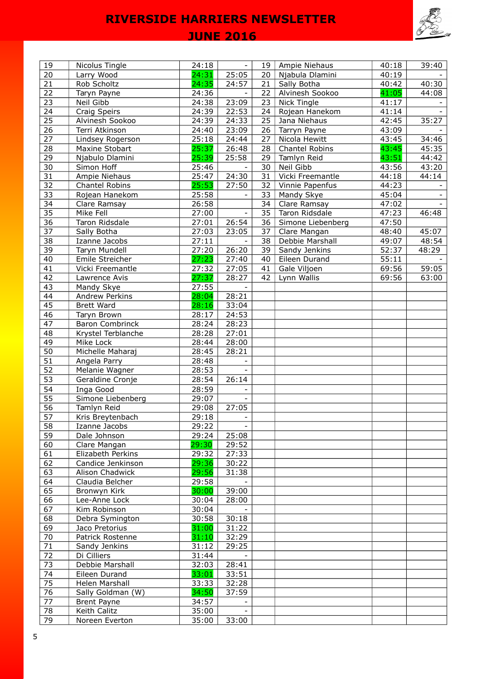

# **JUNE 2016**

| 19              | Nicolus Tingle        | 24:18 | $\overline{\phantom{a}}$ | 19 | Ampie Niehaus     | 40:18 | 39:40 |
|-----------------|-----------------------|-------|--------------------------|----|-------------------|-------|-------|
| 20              | Larry Wood            | 24:31 | 25:05                    | 20 | Njabula Dlamini   | 40:19 |       |
| $\overline{21}$ | Rob Scholtz           | 24:35 | 24:57                    | 21 | Sally Botha       | 40:42 | 40:30 |
| 22              | Taryn Payne           | 24:36 |                          | 22 | Alvinesh Sookoo   | 41:05 | 44:08 |
| $\overline{23}$ | Neil Gibb             | 24:38 | 23:09                    | 23 | Nick Tingle       | 41:17 |       |
| 24              | <b>Craig Speirs</b>   | 24:39 | 22:53                    | 24 | Rojean Hanekom    | 41:14 |       |
| 25              | Alvinesh Sookoo       | 24:39 | 24:33                    | 25 | Jana Niehaus      | 42:45 | 35:27 |
| 26              | Terri Atkinson        | 24:40 | 23:09                    | 26 | Tarryn Payne      | 43:09 |       |
| 27              | Lindsey Rogerson      | 25:18 | 24:44                    | 27 | Nicola Hewitt     | 43:45 | 34:46 |
| 28              | Maxine Stobart        | 25:37 | 26:48                    | 28 | Chantel Robins    | 43:45 | 45:35 |
| 29              | Njabulo Dlamini       | 25:39 | 25:58                    | 29 | Tamlyn Reid       | 43:51 | 44:42 |
| $\overline{30}$ | Simon Hoff            | 25:46 | $\overline{\phantom{a}}$ | 30 | Neil Gibb         | 43:56 | 43:20 |
| $\overline{31}$ | Ampie Niehaus         | 25:47 | 24:30                    | 31 | Vicki Freemantle  | 44:18 | 44:14 |
| 32              | <b>Chantel Robins</b> | 25:53 | 27:50                    | 32 | Vinnie Papenfus   | 44:23 |       |
| 33              | Rojean Hanekom        | 25:58 |                          | 33 | Mandy Skye        | 45:04 |       |
| 34              | Clare Ramsay          | 26:58 |                          | 34 | Clare Ramsay      | 47:02 |       |
| 35              | Mike Fell             | 27:00 | $\equiv$                 | 35 | Taron Ridsdale    | 47:23 | 46:48 |
| 36              | Taron Ridsdale        | 27:01 | 26:54                    | 36 | Simone Liebenberg | 47:50 |       |
| $\overline{37}$ | Sally Botha           | 27:03 | 23:05                    | 37 | Clare Mangan      | 48:40 | 45:07 |
| 38              | Izanne Jacobs         | 27:11 |                          | 38 | Debbie Marshall   | 49:07 | 48:54 |
| $\overline{39}$ | Taryn Mundell         | 27:20 | 26:20                    | 39 | Sandy Jenkins     | 52:37 | 48:29 |
| 40              | Emile Streicher       | 27:23 | 27:40                    | 40 | Eileen Durand     | 55:11 |       |
| $\overline{41}$ | Vicki Freemantle      | 27:32 | 27:05                    | 41 | Gale Viljoen      | 69:56 | 59:05 |
| 42              | Lawrence Avis         | 27:37 | 28:27                    | 42 | Lynn Wallis       | 69:56 | 63:00 |
| 43              | Mandy Skye            | 27:55 |                          |    |                   |       |       |
| 44              | Andrew Perkins        | 28:04 | 28:21                    |    |                   |       |       |
| 45              | <b>Brett Ward</b>     | 28:16 | 33:04                    |    |                   |       |       |
| 46              | Taryn Brown           | 28:17 | 24:53                    |    |                   |       |       |
| 47              | Baron Combrinck       | 28:24 | 28:23                    |    |                   |       |       |
| 48              | Krystel Terblanche    | 28:28 | 27:01                    |    |                   |       |       |
| 49              | Mike Lock             | 28:44 | 28:00                    |    |                   |       |       |
| 50              | Michelle Maharaj      | 28:45 | 28:21                    |    |                   |       |       |
| 51              | Angela Parry          | 28:48 |                          |    |                   |       |       |
| 52              | Melanie Wagner        | 28:53 |                          |    |                   |       |       |
| 53              | Geraldine Cronje      | 28:54 | 26:14                    |    |                   |       |       |
| 54              | Inga Good             | 28:59 |                          |    |                   |       |       |
| $\overline{55}$ | Simone Liebenberg     | 29:07 |                          |    |                   |       |       |
| 56              | Tamlyn Reid           | 29:08 | 27:05                    |    |                   |       |       |
| $\overline{57}$ | Kris Breytenbach      | 29:18 |                          |    |                   |       |       |
| 58              | Izanne Jacobs         | 29:22 |                          |    |                   |       |       |
| 59              | Dale Johnson          | 29:24 | 25:08                    |    |                   |       |       |
| 60              | Clare Mangan          | 29:30 | 29:52                    |    |                   |       |       |
| 61              | Elizabeth Perkins     | 29:32 | 27:33                    |    |                   |       |       |
| 62              | Candice Jenkinson     | 29:36 | 30:22                    |    |                   |       |       |
| 63              | Alison Chadwick       | 29:56 | 31:38                    |    |                   |       |       |
| 64              | Claudia Belcher       | 29:58 |                          |    |                   |       |       |
| 65              | Bronwyn Kirk          | 30:00 | 39:00                    |    |                   |       |       |
| 66              | Lee-Anne Lock         | 30:04 | 28:00                    |    |                   |       |       |
| 67              | Kim Robinson          | 30:04 |                          |    |                   |       |       |
| 68              | Debra Symington       | 30:58 | 30:18                    |    |                   |       |       |
| 69              | Jaco Pretorius        | 31:00 | 31:22                    |    |                   |       |       |
| 70              | Patrick Rostenne      | 31:10 | 32:29                    |    |                   |       |       |
| 71              | Sandy Jenkins         | 31:12 | 29:25                    |    |                   |       |       |
| 72              | Di Cilliers           | 31:44 |                          |    |                   |       |       |
| 73              | Debbie Marshall       | 32:03 | 28:41                    |    |                   |       |       |
| 74              | Eileen Durand         | 33:01 | 33:51                    |    |                   |       |       |
| 75              | Helen Marshall        | 33:33 | 32:28                    |    |                   |       |       |
| 76              | Sally Goldman (W)     | 34:50 | 37:59                    |    |                   |       |       |
| 77              | Brent Payne           | 34:57 |                          |    |                   |       |       |
| 78              | Keith Calitz          | 35:00 |                          |    |                   |       |       |
| 79              | Noreen Everton        | 35:00 | 33:00                    |    |                   |       |       |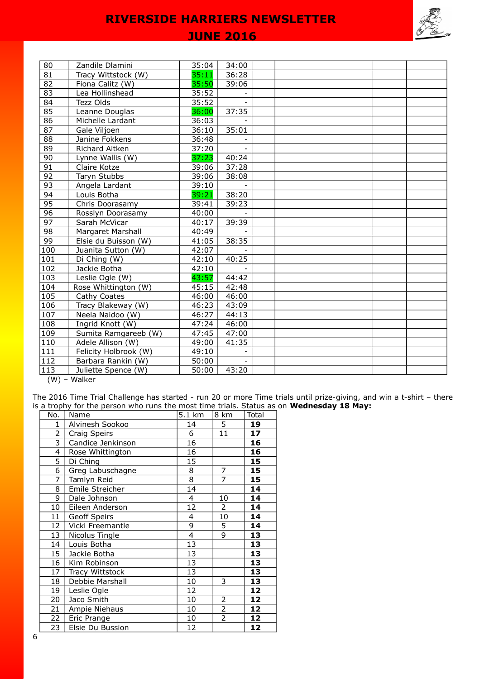## **JUNE 2016**

| 80    | Zandile Dlamini       | 35:04 | 34:00 |  |  |  |
|-------|-----------------------|-------|-------|--|--|--|
| 81    | Tracy Wittstock (W)   | 35:11 | 36:28 |  |  |  |
| 82    | Fiona Calitz (W)      | 35:50 | 39:06 |  |  |  |
| 83    | Lea Hollinshead       | 35:52 |       |  |  |  |
| 84    | Tezz Olds             | 35:52 |       |  |  |  |
| 85    | Leanne Douglas        | 36:00 | 37:35 |  |  |  |
| 86    | Michelle Lardant      | 36:03 |       |  |  |  |
| 87    | Gale Viljoen          | 36:10 | 35:01 |  |  |  |
| 88    | Janine Fokkens        | 36:48 |       |  |  |  |
| 89    | Richard Aitken        | 37:20 |       |  |  |  |
| 90    | Lynne Wallis (W)      | 37:23 | 40:24 |  |  |  |
| 91    | Claire Kotze          | 39:06 | 37:28 |  |  |  |
| 92    | Taryn Stubbs          | 39:06 | 38:08 |  |  |  |
| 93    | Angela Lardant        | 39:10 |       |  |  |  |
| 94    | Louis Botha           | 39:21 | 38:20 |  |  |  |
| 95    | Chris Doorasamy       | 39:41 | 39:23 |  |  |  |
| 96    | Rosslyn Doorasamy     | 40:00 |       |  |  |  |
| 97    | Sarah McVicar         | 40:17 | 39:39 |  |  |  |
| 98    | Margaret Marshall     | 40:49 |       |  |  |  |
| 99    | Elsie du Buisson (W)  | 41:05 | 38:35 |  |  |  |
| 100   | Juanita Sutton (W)    | 42:07 |       |  |  |  |
| 101   | Di Ching (W)          | 42:10 | 40:25 |  |  |  |
| 102   | Jackie Botha          | 42:10 |       |  |  |  |
| 103   | Leslie Ogle (W)       | 43:57 | 44:42 |  |  |  |
| 104   | Rose Whittington (W)  | 45:15 | 42:48 |  |  |  |
| 105   | Cathy Coates          | 46:00 | 46:00 |  |  |  |
| 106   | Tracy Blakeway (W)    | 46:23 | 43:09 |  |  |  |
| 107   | Neela Naidoo (W)      | 46:27 | 44:13 |  |  |  |
| 108   | Ingrid Knott (W)      | 47:24 | 46:00 |  |  |  |
| 109   | Sumita Ramgareeb (W)  | 47:45 | 47:00 |  |  |  |
| 110   | Adele Allison (W)     | 49:00 | 41:35 |  |  |  |
| 111   | Felicity Holbrook (W) | 49:10 |       |  |  |  |
| 112   | Barbara Rankin (W)    | 50:00 |       |  |  |  |
| 113   | Juliette Spence (W)   | 50:00 | 43:20 |  |  |  |
| (111) | $M\sim H\sim r$       |       |       |  |  |  |

(W) – Walker

The 2016 Time Trial Challenge has started - run 20 or more Time trials until prize-giving, and win a t-shirt – there is a trophy for the person who runs the most time trials. Status as on **Wednesday 18 May:**

| No.            | Name              | 5.1 km         | 8 km           | Total |
|----------------|-------------------|----------------|----------------|-------|
| 1              | Alvinesh Sookoo   | 14             | 5              | 19    |
| $\overline{2}$ | Craig Speirs      | 6              | 11             | 17    |
| 3              | Candice Jenkinson | 16             |                | 16    |
| 4              | Rose Whittington  | 16             |                | 16    |
| 5              | Di Ching          | 15             |                | 15    |
| $\overline{6}$ | Greg Labuschagne  | 8              | 7              | 15    |
| $\overline{7}$ | Tamlyn Reid       | $\overline{8}$ | $\overline{7}$ | 15    |
| 8              | Emile Streicher   | 14             |                | 14    |
| 9              | Dale Johnson      | $\overline{4}$ | 10             | 14    |
| 10             | Eileen Anderson   | 12             | $\overline{2}$ | 14    |
| 11             | Geoff Speirs      | 4              | 10             | 14    |
| 12             | Vicki Freemantle  | 9              | 5              | 14    |
| 13             | Nicolus Tingle    | $\overline{4}$ | 9              | 13    |
| 14             | Louis Botha       | 13             |                | 13    |
| 15             | Jackie Botha      | 13             |                | 13    |
| 16             | Kim Robinson      | 13             |                | 13    |
| 17             | Tracy Wittstock   | 13             |                | 13    |
| 18             | Debbie Marshall   | 10             | 3              | 13    |
| 19             | Leslie Ogle       | 12             |                | 12    |
| 20             | Jaco Smith        | 10             | $\overline{2}$ | 12    |
| 21             | Ampie Niehaus     | 10             | $\overline{2}$ | 12    |
| 22             | Eric Prange       | 10             | $\overline{2}$ | 12    |
| 23             | Elsie Du Bussion  | 12             |                | 12    |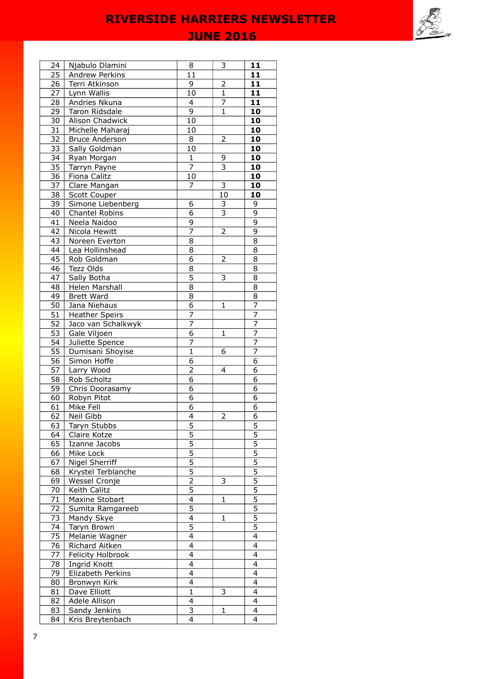**JUNE 2016** 

| 24              | Njabulo Dlamini             | 8                                | 3                       | 11                         |
|-----------------|-----------------------------|----------------------------------|-------------------------|----------------------------|
| 25              | Andrew Perkins              | 11                               |                         | 11                         |
| 26              | Terri Atkinson              | 9                                | 2                       | 11                         |
| 27              | Lynn Wallis                 | 10                               | $\mathbf{1}$            | 11                         |
| 28              | Andries Nkuna               | 4                                | 7                       | 11                         |
| 29              | Taron Ridsdale              | $\overline{9}$                   | $\mathbf{1}$            | 10                         |
| 30              | Alison Chadwick             | 10                               |                         | 10                         |
| $\overline{31}$ | Michelle Maharaj            | 10                               |                         | 10                         |
| 32              | <b>Bruce Anderson</b>       | 8                                | 2                       | 10                         |
| $\overline{33}$ | Sally Goldman               | 10                               |                         | 10                         |
| $\overline{34}$ | Ryan Morgan                 | $\mathbf 1$                      | 9                       | 10                         |
| 35              | Tarryn Payne                | $\overline{7}$                   | $\overline{3}$          | 10                         |
| 36              | Fiona Calitz                | 10                               |                         | 10                         |
| 37              | Clare Mangan                | 7                                | 3                       | 10                         |
| 38              | Scott Couper                |                                  | 10                      | 10                         |
| 39              | Simone Liebenberg           | 6                                | 3                       | 9                          |
| 40              | Chantel Robins              | $\overline{6}$                   | $\overline{\mathbf{3}}$ | $\overline{9}$             |
| 41              | Neela Naidoo                | $\overline{9}$                   |                         | $\overline{9}$             |
| 42              | Nicola Hewitt               | 7                                | 2                       | $\overline{9}$             |
| 43              | Noreen Everton              | 8                                |                         | 8                          |
| 44              | Lea Hollinshead             | 8                                |                         | 8                          |
| 45              | Rob Goldman                 | $\overline{6}$                   | 2                       | 8                          |
| 46              | Tezz Olds                   | 8                                |                         | 8                          |
| 47              | Sally Botha                 | 5                                | 3                       | 8                          |
| 48              | Helen Marshall              | 8                                |                         | 8                          |
| 49              | <b>Brett Ward</b>           | 8                                |                         | 8                          |
| 50              | Jana Niehaus                | 6                                | 1                       | 7                          |
| 51              | <b>Heather Speirs</b>       | $\overline{7}$                   |                         | 7                          |
| 52              | Jaco van Schalkwyk          | $\overline{7}$                   |                         | $\overline{7}$             |
| 53              | Gale Viljoen                | $\overline{6}$                   | 1                       | 7                          |
| 54              | Juliette Spence             | 7                                |                         | $\overline{7}$             |
| $\overline{55}$ | Dumisani Shoyise            | $\overline{1}$                   | 6                       | $\overline{7}$             |
| $\overline{56}$ | Simon Hoffe                 | 6                                |                         | 6                          |
| 57              | Larry Wood                  | $\overline{2}$                   | 4                       | 6                          |
| 58              | Rob Scholtz                 | 6                                |                         | 6                          |
| 59              | Chris Doorasamy             | 6                                |                         | 6                          |
| 60              | Robyn Pitot                 | 6                                |                         | 6                          |
| 61              | Mike Fell                   | 6                                |                         | 6<br>$\overline{6}$        |
| $\overline{6}$  | Neil Gibb                   | $\overline{\mathbf{4}}$          | 2                       |                            |
| $\overline{63}$ | Taryn Stubbs                | $\overline{5}$<br>$\overline{5}$ |                         | <u>כ</u><br>$\overline{5}$ |
| 64<br>65        | Claire Kotze                | $\overline{5}$                   |                         | $\overline{5}$             |
| 66              | Izanne Jacobs               | $\overline{5}$                   |                         | $\overline{5}$             |
| 67              | Mike Lock<br>Nigel Sherriff | $\overline{5}$                   |                         | $\overline{5}$             |
| 68              | Krystel Terblanche          | $\overline{5}$                   |                         | $\overline{5}$             |
| 69              | Wessel Cronje               | 2                                | 3                       | 5                          |
| 70              | Keith Calitz                | $\overline{5}$                   |                         | $\overline{5}$             |
| 71              | Maxine Stobart              | $\overline{\mathbf{4}}$          | 1                       | $\overline{5}$             |
| 72              | Sumita Ramgareeb            | 5                                |                         | $\overline{5}$             |
| 73              | Mandy Skye                  | $\overline{4}$                   | 1                       | $\overline{5}$             |
| 74              | Taryn Brown                 | $\overline{5}$                   |                         | $\overline{5}$             |
| 75              | Melanie Wagner              | $\overline{4}$                   |                         | $\overline{4}$             |
| 76              | Richard Aitken              | $\overline{\mathcal{L}}$         |                         | 4                          |
| 77              | Felicity Holbrook           | $\overline{4}$                   |                         | 4                          |
| 78              | Ingrid Knott                | $\overline{\mathcal{L}}$         |                         | 4                          |
| 79              | Elizabeth Perkins           | $\overline{4}$                   |                         | 4                          |
| 80              | Bronwyn Kirk                | 4                                |                         | 4                          |
| 81              | Dave Elliott                | 1                                | 3                       | 4                          |
| 82              | Adele Allison               | $\overline{4}$                   |                         | 4                          |
| 83              | Sandy Jenkins               | 3                                | 1                       | 4                          |
| 84              | Kris Breytenbach            | $\overline{4}$                   |                         | 4                          |
|                 |                             |                                  |                         |                            |

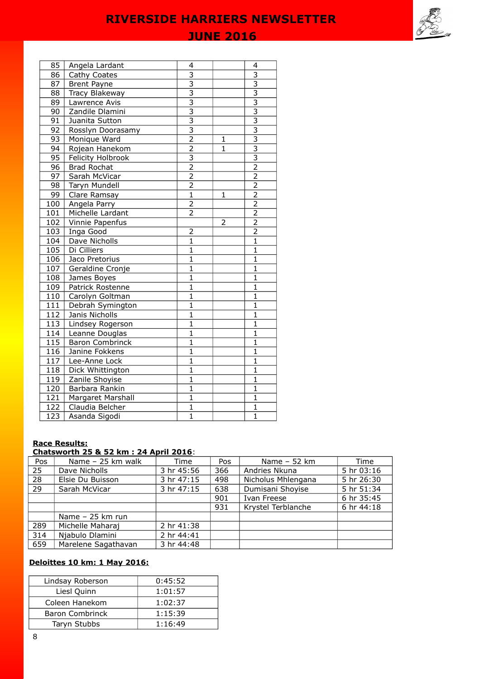# **JUNE 2016**

| 85                | Angela Lardant     | 4                         |              | 4                         |
|-------------------|--------------------|---------------------------|--------------|---------------------------|
| 86                | Cathy Coates       | 3                         |              | 3                         |
| 87                | <b>Brent Payne</b> | $\overline{\overline{3}}$ |              | $\overline{\overline{3}}$ |
| 88                | Tracy Blakeway     | $\overline{3}$            |              | $\overline{3}$            |
| 89                | Lawrence Avis      | $\frac{3}{3}$             |              | $\overline{3}$            |
| 90                | Zandile Dlamini    |                           |              | $\overline{3}$            |
| 91                | Juanita Sutton     | $\overline{3}$            |              | $\overline{3}$            |
| 92                | Rosslyn Doorasamy  | $\overline{3}$            |              | $\overline{\overline{3}}$ |
| 93                | Monique Ward       | $\overline{2}$            | 1            | $\overline{\overline{3}}$ |
| 94                | Rojean Hanekom     | $\overline{2}$            | $\mathbf{1}$ | $\overline{\overline{3}}$ |
| 95                | Felicity Holbrook  | $\overline{3}$            |              | $\overline{\overline{3}}$ |
| 96                | <b>Brad Rochat</b> | $\overline{2}$            |              | $\overline{2}$            |
| 97                | Sarah McVicar      | $\overline{2}$            |              | $\overline{2}$            |
| 98                | Taryn Mundell      | $\overline{2}$            |              | $\overline{2}$            |
| 99                | Clare Ramsay       | $\overline{1}$            | 1            | $\overline{2}$            |
| 100               | Angela Parry       | $\overline{2}$            |              | $\overline{2}$            |
| 101               | Michelle Lardant   | $\overline{2}$            |              | $\overline{2}$            |
| 102               | Vinnie Papenfus    |                           | 2            | $\overline{2}$            |
| 103               | Inga Good          | $\overline{2}$            |              | $\overline{2}$            |
| 104               | Dave Nicholls      | $\mathbf{1}$              |              | $\mathbf{1}$              |
| 105               | Di Cilliers        | 1                         |              | $\mathbf{1}$              |
| 106               | Jaco Pretorius     | $\mathbf{1}$              |              | $\mathbf{1}$              |
| 107               | Geraldine Cronje   | $\mathbf{1}$              |              | $\mathbf{1}$              |
| 108               | James Boyes        | 1                         |              | 1                         |
| 109               | Patrick Rostenne   | $\overline{1}$            |              | $\overline{1}$            |
| 110               | Carolyn Goltman    | $\overline{1}$            |              | $\overline{1}$            |
| 111               | Debrah Symington   | $\mathbf{1}$              |              | $\mathbf{1}$              |
| 112               | Janis Nicholls     | $\overline{1}$            |              | $\overline{1}$            |
| 113               | Lindsey Rogerson   | $\mathbf{1}$              |              | 1                         |
| 114               | Leanne Douglas     | $\mathbf{1}$              |              | $\mathbf{1}$              |
| 115               | Baron Combrinck    | $\mathbf{1}$              |              | $\mathbf{1}$              |
| $\overline{1}$ 16 | Janine Fokkens     | $\overline{1}$            |              | $\overline{1}$            |
| 117               | Lee-Anne Lock      | $\mathbf{1}$              |              | 1                         |
| 118               | Dick Whittington   | 1                         |              | 1                         |
| 119               | Zanile Shoyise     | $\mathbf{1}$              |              | $\mathbf{1}$              |
| 120               | Barbara Rankin     | $\overline{1}$            |              | $\overline{1}$            |
| $\frac{1}{2}$     | Margaret Marshall  | $\overline{1}$            |              | $\overline{1}$            |
| 122               | Claudia Belcher    | $\mathbf{1}$              |              | $\mathbf{1}$              |
| 123               | Asanda Sigodi      | $\mathbf{1}$              |              | $\overline{1}$            |

#### **Race Results:**

#### **Chatsworth 25 & 52 km : 24 April 2016**:

| Pos | Name - 25 km walk   | Time       | Pos | Name $-52$ km      | Time       |
|-----|---------------------|------------|-----|--------------------|------------|
| 25  | Dave Nicholls       | 3 hr 45:56 | 366 | Andries Nkuna      | 5 hr 03:16 |
| 28  | Elsie Du Buisson    | 3 hr 47:15 | 498 | Nicholus Mhlengana | 5 hr 26:30 |
| 29  | Sarah McVicar       | 3 hr 47:15 | 638 | Dumisani Shoyise   | 5 hr 51:34 |
|     |                     |            | 901 | Ivan Freese        | 6 hr 35:45 |
|     |                     |            | 931 | Krystel Terblanche | 6 hr 44:18 |
|     | Name $-25$ km run   |            |     |                    |            |
| 289 | Michelle Maharaj    | 2 hr 41:38 |     |                    |            |
| 314 | Njabulo Dlamini     | 2 hr 44:41 |     |                    |            |
| 659 | Marelene Sagathavan | 3 hr 44:48 |     |                    |            |

## **Deloittes 10 km: 1 May 2016:**

| Lindsay Roberson       | 0:45:52 |
|------------------------|---------|
| Liesl Quinn            | 1:01:57 |
| Coleen Hanekom         | 1:02:37 |
| <b>Baron Combrinck</b> | 1:15:39 |
| Taryn Stubbs           | 1:16:49 |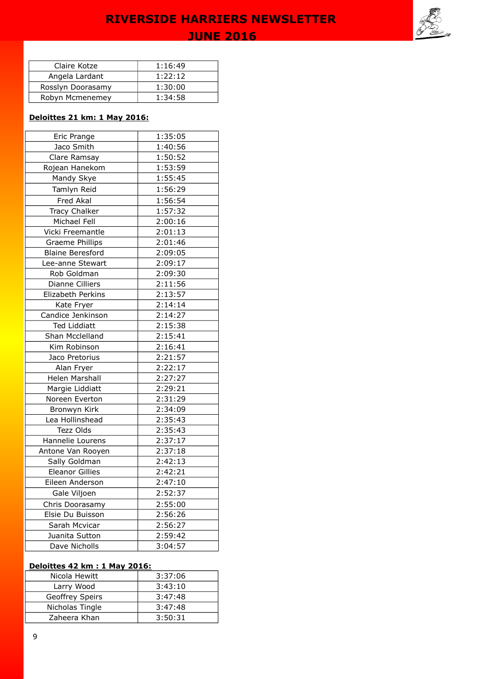

| Claire Kotze      | 1:16:49 |
|-------------------|---------|
| Angela Lardant    | 1:22:12 |
| Rosslyn Doorasamy | 1:30:00 |
| Robyn Mcmenemey   | 1:34:58 |

### **Deloittes 21 km: 1 May 2016:**

| Eric Prange             | 1:35:05 |
|-------------------------|---------|
| Jaco Smith              | 1:40:56 |
| Clare Ramsay            | 1:50:52 |
| Rojean Hanekom          | 1:53:59 |
| Mandy Skye              | 1:55:45 |
| Tamlyn Reid             | 1:56:29 |
| Fred Akal               | 1:56:54 |
| <b>Tracy Chalker</b>    | 1:57:32 |
| Michael Fell            | 2:00:16 |
| Vicki Freemantle        | 2:01:13 |
| <b>Graeme Phillips</b>  | 2:01:46 |
| <b>Blaine Beresford</b> | 2:09:05 |
| Lee-anne Stewart        | 2:09:17 |
| Rob Goldman             | 2:09:30 |
| <b>Dianne Cilliers</b>  | 2:11:56 |
| Elizabeth Perkins       | 2:13:57 |
| Kate Fryer              | 2:14:14 |
| Candice Jenkinson       | 2:14:27 |
| <b>Ted Liddiatt</b>     | 2:15:38 |
| Shan Mcclelland         | 2:15:41 |
| Kim Robinson            | 2:16:41 |
| Jaco Pretorius          | 2:21:57 |
| Alan Fryer              | 2:22:17 |
| <b>Helen Marshall</b>   | 2:27:27 |
| Margie Liddiatt         | 2:29:21 |
| Noreen Everton          | 2:31:29 |
| Bronwyn Kirk            | 2:34:09 |
| Lea Hollinshead         | 2:35:43 |
| Tezz Olds               | 2:35:43 |
| Hannelie Lourens        | 2:37:17 |
| Antone Van Rooyen       | 2:37:18 |
| Sally Goldman           | 2:42:13 |
| <b>Eleanor Gillies</b>  | 2:42:21 |
| Eileen Anderson         | 2:47:10 |
| Gale Viljoen            | 2:52:37 |
| Chris Doorasamy         | 2:55:00 |
| Elsie Du Buisson        | 2:56:26 |
| Sarah Mcvicar           | 2:56:27 |
| Juanita Sutton          | 2:59:42 |
| Dave Nicholls           | 3:04:57 |

## **Deloittes 42 km : 1 May 2016:**

| Nicola Hewitt          | 3:37:06 |
|------------------------|---------|
| Larry Wood             | 3:43:10 |
| <b>Geoffrey Speirs</b> | 3:47:48 |
| Nicholas Tingle        | 3:47:48 |
| Zaheera Khan           | 3:50:31 |
|                        |         |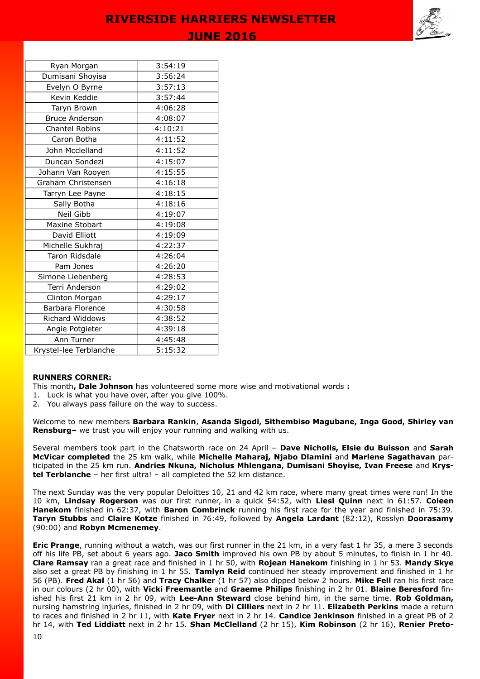

|  | ı<br>ı<br>ı | we | ገጠ | $\sim$ $-$ |
|--|-------------|----|----|------------|
|  |             |    |    |            |

| Ryan Morgan            | 3:54:19 |
|------------------------|---------|
| Dumisani Shoyisa       | 3:56:24 |
| Evelyn O Byrne         | 3:57:13 |
| Kevin Keddie           | 3:57:44 |
| Taryn Brown            | 4:06:28 |
| <b>Bruce Anderson</b>  | 4:08:07 |
| <b>Chantel Robins</b>  | 4:10:21 |
| Caron Botha            | 4:11:52 |
| John Mcclelland        | 4:11:52 |
| Duncan Sondezi         | 4:15:07 |
| Johann Van Rooyen      | 4:15:55 |
| Graham Christensen     | 4:16:18 |
| Tarryn Lee Payne       | 4:18:15 |
| Sally Botha            | 4:18:16 |
| Neil Gibb              | 4:19:07 |
| Maxine Stobart         | 4:19:08 |
| David Elliott          | 4:19:09 |
| Michelle Sukhraj       | 4:22:37 |
| Taron Ridsdale         | 4:26:04 |
| Pam Jones              | 4:26:20 |
| Simone Liebenberg      | 4:28:53 |
| Terri Anderson         | 4:29:02 |
| Clinton Morgan         | 4:29:17 |
| Barbara Florence       | 4:30:58 |
| <b>Richard Widdows</b> | 4:38:52 |
| Angie Potgieter        | 4:39:18 |
| Ann Turner             | 4:45:48 |
| Krystel-lee Terblanche | 5:15:32 |

#### **RUNNERS CORNER:**

This month**, Dale Johnson** has volunteered some more wise and motivational words **:** 

- 1. Luck is what you have over, after you give 100%.
- 2. You always pass failure on the way to success.

Welcome to new members **Barbara Rankin**, **Asanda Sigodi, Sithembiso Magubane, Inga Good, Shirley van Rensburg–** we trust you will enjoy your running and walking with us.

Several members took part in the Chatsworth race on 24 April – **Dave Nicholls, Elsie du Buisson** and **Sarah McVicar completed** the 25 km walk, while **Michelle Maharaj, Njabo Dlamini** and **Marlene Sagathavan** participated in the 25 km run. **Andries Nkuna, Nicholus Mhlengana, Dumisani Shoyise, Ivan Freese** and **Krystel Terblanche** – her first ultra! – all completed the 52 km distance.

The next Sunday was the very popular Deloittes 10, 21 and 42 km race, where many great times were run! In the 10 km, **Lindsay Rogerson** was our first runner, in a quick 54:52, with **Liesl Quinn** next in 61:57. **Coleen Hanekom** finished in 62:37, with **Baron Combrinck** running his first race for the year and finished in 75:39. **Taryn Stubbs** and **Claire Kotze** finished in 76:49, followed by **Angela Lardant** (82:12), Rosslyn **Doorasamy** (90:00) and **Robyn Mcmenemey**.

**Eric Prange**, running without a watch, was our first runner in the 21 km, in a very fast 1 hr 35, a mere 3 seconds off his life PB, set about 6 years ago. **Jaco Smith** improved his own PB by about 5 minutes, to finish in 1 hr 40. **Clare Ramsay** ran a great race and finished in 1 hr 50, with **Rojean Hanekom** finishing in 1 hr 53. **Mandy Skye** also set a great PB by finishing in 1 hr 55. **Tamlyn Reid** continued her steady improvement and finished in 1 hr 56 (PB). **Fred Akal** (1 hr 56) and **Tracy Chalker** (1 hr 57) also dipped below 2 hours. **Mike Fell** ran his first race in our colours (2 hr 00), with **Vicki Freemantle** and **Graeme Philips** finishing in 2 hr 01. **Blaine Beresford** finished his first 21 km in 2 hr 09, with **Lee-Ann Steward** close behind him, in the same time. **Rob Goldman,** nursing hamstring injuries, finished in 2 hr 09, with **Di Cilliers** next in 2 hr 11. **Elizabeth Perkins** made a return to races and finished in 2 hr 11, with **Kate Fryer** next in 2 hr 14. **Candice Jenkinson** finished in a great PB of 2 hr 14, with **Ted Liddiatt** next in 2 hr 15. **Shan McClelland** (2 hr 15), **Kim Robinson** (2 hr 16), **Renier Preto-**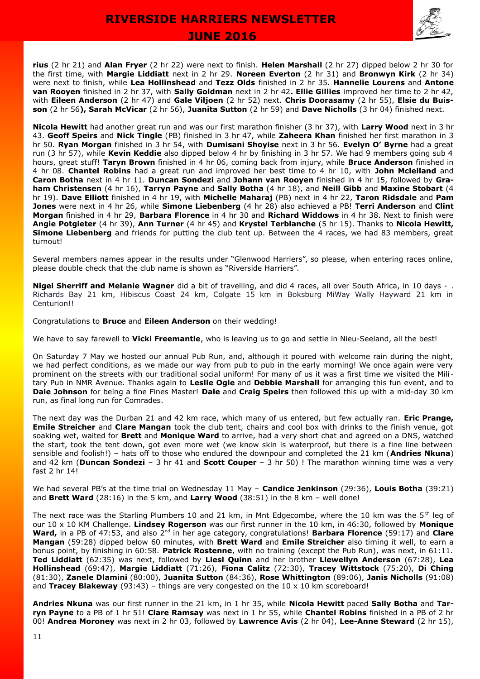

**rius** (2 hr 21) and **Alan Fryer** (2 hr 22) were next to finish. **Helen Marshall** (2 hr 27) dipped below 2 hr 30 for the first time, with **Margie Liddiatt** next in 2 hr 29. **Noreen Everton** (2 hr 31) and **Bronwyn Kirk** (2 hr 34) were next to finish, while **Lea Hollinshead** and **Tezz Olds** finished in 2 hr 35. **Hannelie Lourens** and **Antone van Rooyen** finished in 2 hr 37, with **Sally Goldman** next in 2 hr 42**. Ellie Gillies** improved her time to 2 hr 42, with **Eileen Anderson** (2 hr 47) and **Gale Viljoen** (2 hr 52) next. **Chris Doorasamy** (2 hr 55), **Elsie du Buisson** (2 hr 56**), Sarah McVicar** (2 hr 56), **Juanita Sutton** (2 hr 59) and **Dave Nicholls** (3 hr 04) finished next.

**Nicola Hewitt** had another great run and was our first marathon finisher (3 hr 37), with **Larry Wood** next in 3 hr 43. **Geoff Speirs** and **Nick Tingle** (PB) finished in 3 hr 47, while **Zaheera Khan** finished her first marathon in 3 hr 50. **Ryan Morgan** finished in 3 hr 54, with **Dumisani Shoyise** next in 3 hr 56. **Evelyn O' Byrne** had a great run (3 hr 57), while **Kevin Keddie** also dipped below 4 hr by finishing in 3 hr 57. We had 9 members going sub 4 hours, great stuff! **Taryn Brown** finished in 4 hr 06, coming back from injury, while **Bruce Anderson** finished in 4 hr 08. **Chantel Robins** had a great run and improved her best time to 4 hr 10, with **John Mclelland** and **Caron Botha** next in 4 hr 11. **Duncan Sondezi** and **Johann van Rooyen** finished in 4 hr 15, followed by **Graham Christensen** (4 hr 16), **Tarryn Payne** and **Sally Botha** (4 hr 18), and **Neill Gibb** and **Maxine Stobart** (4 hr 19). **Dave Elliott** finished in 4 hr 19, with **Michelle Maharaj** (PB) next in 4 hr 22, **Taron Ridsdale** and **Pam Jones** were next in 4 hr 26, while **Simone Liebenberg** (4 hr 28) also achieved a PB! **Terri Anderson** and **Clint Morgan** finished in 4 hr 29, **Barbara Florence** in 4 hr 30 and **Richard Widdows** in 4 hr 38. Next to finish were **Angie Potgieter** (4 hr 39), **Ann Turner** (4 hr 45) and **Krystel Terblanche** (5 hr 15). Thanks to **Nicola Hewitt, Simone Liebenberg** and friends for putting the club tent up. Between the 4 races, we had 83 members, great turnout!

Several members names appear in the results under "Glenwood Harriers", so please, when entering races online, please double check that the club name is shown as "Riverside Harriers".

**Nigel Sherriff and Melanie Wagner** did a bit of travelling, and did 4 races, all over South Africa, in 10 days - . Richards Bay 21 km, Hibiscus Coast 24 km, Colgate 15 km in Boksburg MiWay Wally Hayward 21 km in Centurion!!

Congratulations to **Bruce** and **Eileen Anderson** on their wedding!

We have to say farewell to **Vicki Freemantle**, who is leaving us to go and settle in Nieu-Seeland, all the best!

On Saturday 7 May we hosted our annual Pub Run, and, although it poured with welcome rain during the night, we had perfect conditions, as we made our way from pub to pub in the early morning! We once again were very prominent on the streets with our traditional social uniform! For many of us it was a first time we visited the Mili tary Pub in NMR Avenue. Thanks again to **Leslie Ogle** and **Debbie Marshall** for arranging this fun event, and to **Dale Johnson** for being a fine Fines Master! **Dale** and **Craig Speirs** then followed this up with a mid-day 30 km run, as final long run for Comrades.

The next day was the Durban 21 and 42 km race, which many of us entered, but few actually ran. **Eric Prange, Emile Streicher** and **Clare Mangan** took the club tent, chairs and cool box with drinks to the finish venue, got soaking wet, waited for **Brett** and **Monique Ward** to arrive, had a very short chat and agreed on a DNS, watched the start, took the tent down, got even more wet (we know skin is waterproof, but there is a fine line between sensible and foolish!) – hats off to those who endured the downpour and completed the 21 km (**Andries Nkuna**) and 42 km (**Duncan Sondezi** – 3 hr 41 and **Scott Couper** – 3 hr 50) ! The marathon winning time was a very fast 2 hr 14!

We had several PB's at the time trial on Wednesday 11 May – **Candice Jenkinson** (29:36), **Louis Botha** (39:21) and **Brett Ward** (28:16) in the 5 km, and **Larry Wood** (38:51) in the 8 km – well done!

The next race was the Starling Plumbers 10 and 21 km, in Mnt Edgecombe, where the 10 km was the 5<sup>th</sup> leg of our 10 x 10 KM Challenge. **Lindsey Rogerson** was our first runner in the 10 km, in 46:30, followed by **Monique Ward,** in a PB of 47:53, and also 2nd in her age category, congratulations! **Barbara Florence** (59:17) and **Clare Mangan** (59:28) dipped below 60 minutes, with **Brett Ward** and **Emile Streicher** also timing it well, to earn a bonus point, by finishing in 60:58. **Patrick Rostenne**, with no training (except the Pub Run), was next, in 61:11. **Ted Liddiatt** (62:35) was next, followed by **Liesl Quinn** and her brother **Llewellyn Anderson** (67:28), **Lea Hollinshead** (69:47), **Margie Liddiatt** (71:26), **Fiona Calitz** (72:30), **Tracey Wittstock** (75:20), **Di Ching** (81:30), **Zanele Dlamini** (80:00), **Juanita Sutton** (84:36), **Rose Whittington** (89:06), **Janis Nicholls** (91:08) and **Tracey Blakeway** (93:43) – things are very congested on the 10 x 10 km scoreboard!

**Andries Nkuna** was our first runner in the 21 km, in 1 hr 35, while **Nicola Hewitt** paced **Sally Botha** and **Tarryn Payne** to a PB of 1 hr 51! **Clare Ramsay** was next in 1 hr 55, while **Chantel Robins** finished in a PB of 2 hr 00! **Andrea Moroney** was next in 2 hr 03, followed by **Lawrence Avis** (2 hr 04), **Lee-Anne Steward** (2 hr 15),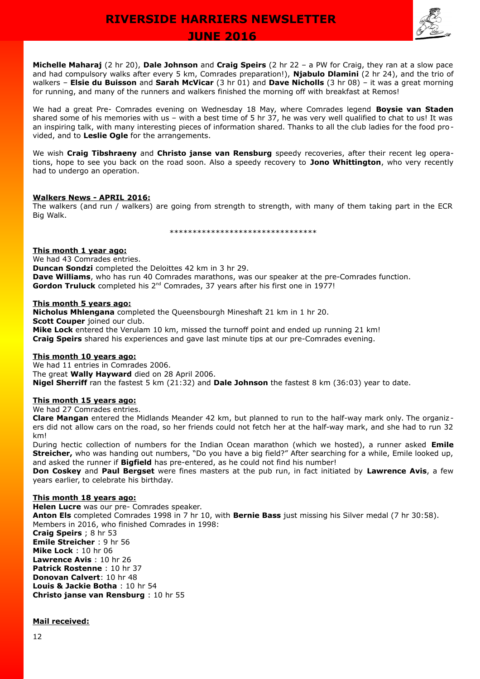

 **JUNE 2016** 

**Michelle Maharaj** (2 hr 20), **Dale Johnson** and **Craig Speirs** (2 hr 22 – a PW for Craig, they ran at a slow pace and had compulsory walks after every 5 km, Comrades preparation!), **Njabulo Dlamini** (2 hr 24), and the trio of walkers – **Elsie du Buisson** and **Sarah McVicar** (3 hr 01) and **Dave Nicholls** (3 hr 08) – it was a great morning for running, and many of the runners and walkers finished the morning off with breakfast at Remos!

We had a great Pre- Comrades evening on Wednesday 18 May, where Comrades legend **Boysie van Staden** shared some of his memories with us – with a best time of 5 hr 37, he was very well qualified to chat to us! It was an inspiring talk, with many interesting pieces of information shared. Thanks to all the club ladies for the food provided, and to **Leslie Ogle** for the arrangements.

We wish **Craig Tibshraeny** and **Christo janse van Rensburg** speedy recoveries, after their recent leg operations, hope to see you back on the road soon. Also a speedy recovery to **Jono Whittington**, who very recently had to undergo an operation.

#### **Walkers News - APRIL 2016:**

The walkers (and run / walkers) are going from strength to strength, with many of them taking part in the ECR Big Walk.

\*\*\*\*\*\*\*\*\*\*\*\*\*\*\*\*\*\*\*\*\*\*\*\*\*\*\*\*\*\*\*\*

### **This month 1 year ago:**

We had 43 Comrades entries. **Duncan Sondzi** completed the Deloittes 42 km in 3 hr 29. **Dave Williams**, who has run 40 Comrades marathons, was our speaker at the pre-Comrades function. Gordon Truluck completed his 2<sup>nd</sup> Comrades, 37 years after his first one in 1977!

#### **This month 5 years ago:**

**Nicholus Mhlengana** completed the Queensbourgh Mineshaft 21 km in 1 hr 20. **Scott Couper** joined our club. **Mike Lock** entered the Verulam 10 km, missed the turnoff point and ended up running 21 km! **Craig Speirs** shared his experiences and gave last minute tips at our pre-Comrades evening.

#### **This month 10 years ago:**

We had 11 entries in Comrades 2006. The great **Wally Hayward** died on 28 April 2006. **Nigel Sherriff** ran the fastest 5 km (21:32) and **Dale Johnson** the fastest 8 km (36:03) year to date.

#### **This month 15 years ago:**

We had 27 Comrades entries.

**Clare Mangan** entered the Midlands Meander 42 km, but planned to run to the half-way mark only. The organiz ers did not allow cars on the road, so her friends could not fetch her at the half-way mark, and she had to run 32 km!

During hectic collection of numbers for the Indian Ocean marathon (which we hosted), a runner asked **Emile Streicher,** who was handing out numbers, "Do you have a big field?" After searching for a while, Emile looked up, and asked the runner if **Bigfield** has pre-entered, as he could not find his number!

**Don Coskey** and **Paul Bergset** were fines masters at the pub run, in fact initiated by **Lawrence Avis**, a few years earlier, to celebrate his birthday.

#### **This month 18 years ago:**

**Helen Lucre** was our pre- Comrades speaker. **Anton Els** completed Comrades 1998 in 7 hr 10, with **Bernie Bass** just missing his Silver medal (7 hr 30:58). Members in 2016, who finished Comrades in 1998: **Craig Speirs** ; 8 hr 53 **Emile Streicher** : 9 hr 56 **Mike Lock** : 10 hr 06 **Lawrence Avis** : 10 hr 26 **Patrick Rostenne** : 10 hr 37 **Donovan Calvert**: 10 hr 48 **Louis & Jackie Botha** : 10 hr 54 **Christo janse van Rensburg** : 10 hr 55

### **Mail received:**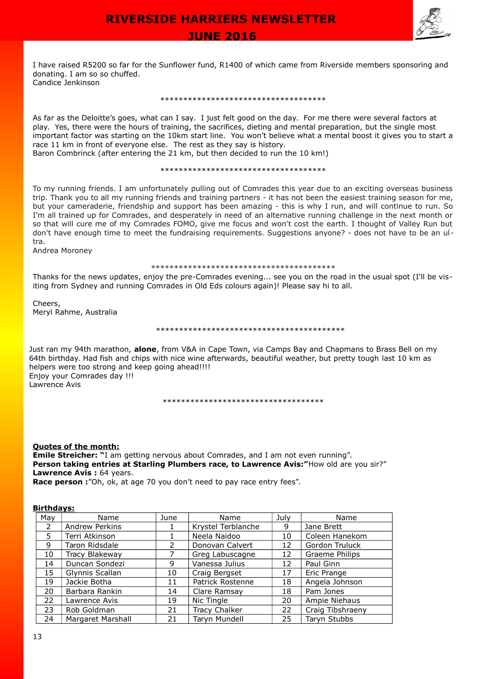

 **JUNE 2016** 

I have raised R5200 so far for the Sunflower fund, R1400 of which came from Riverside members sponsoring and donating. I am so so chuffed. Candice Jenkinson

#### \*\*\*\*\*\*\*\*\*\*\*\*\*\*\*\*\*\*\*\*\*\*\*\*\*\*\*\*\*\*\*\*\*\*\*\*

As far as the Deloitte's goes, what can I say. I just felt good on the day. For me there were several factors at play. Yes, there were the hours of training, the sacrifices, dieting and mental preparation, but the single most important factor was starting on the 10km start line. You won't believe what a mental boost it gives you to start a race 11 km in front of everyone else. The rest as they say is history.

Baron Combrinck (after entering the 21 km, but then decided to run the 10 km!)

#### \*\*\*\*\*\*\*\*\*\*\*\*\*\*\*\*\*\*\*\*\*\*\*\*\*\*\*\*\*\*\*\*\*\*\*\*

To my running friends. I am unfortunately pulling out of Comrades this year due to an exciting overseas business trip. Thank you to all my running friends and training partners - it has not been the easiest training season for me, but your cameraderie, friendship and support has been amazing - this is why I run, and will continue to run. So I'm all trained up for Comrades, and desperately in need of an alternative running challenge in the next month or so that will cure me of my Comrades FOMO, give me focus and won't cost the earth. I thought of Valley Run but don't have enough time to meet the fundraising requirements. Suggestions anyone? - does not have to be an ultra.

Andrea Moroney

#### \*\*\*\*\*\*\*\*\*\*\*\*\*\*\*\*\*\*\*\*\*\*\*\*\*\*\*\*\*\*\*\*\*\*\*\*\*\*\*\*

Thanks for the news updates, enjoy the pre-Comrades evening... see you on the road in the usual spot (I'll be visiting from Sydney and running Comrades in Old Eds colours again)! Please say hi to all.

Cheers, Meryl Rahme, Australia

#### \*\*\*\*\*\*\*\*\*\*\*\*\*\*\*\*\*\*\*\*\*\*\*\*\*\*\*\*\*\*\*\*\*\*\*\*\*\*\*\*\*

Just ran my 94th marathon, **alone**, from V&A in Cape Town, via Camps Bay and Chapmans to Brass Bell on my 64th birthday. Had fish and chips with nice wine afterwards, beautiful weather, but pretty tough last 10 km as helpers were too strong and keep going ahead!!!! Enjoy your Comrades day !!! Lawrence Avis

\*\*\*\*\*\*\*\*\*\*\*\*\*\*\*\*\*\*\*\*\*\*\*\*\*\*\*\*\*\*\*\*\*\*\*

#### **Quotes of the month:**

**Emile Streicher:** "I am getting nervous about Comrades, and I am not even running". **Person taking entries at Starling Plumbers race, to Lawrence Avis:**"How old are you sir?" **Lawrence Avis: 64 years.** 

**Race person :**"Oh, ok, at age 70 you don't need to pay race entry fees".

#### **Birthdays:**

| Mav | Name              | June | Name               | July | Name             |
|-----|-------------------|------|--------------------|------|------------------|
| 2   | Andrew Perkins    |      | Krystel Terblanche | 9    | Jane Brett       |
| 5   | Terri Atkinson    |      | Neela Naidoo       | 10   | Coleen Hanekom   |
| 9   | Taron Ridsdale    | 2    | Donovan Calvert    | 12   | Gordon Truluck   |
| 10  | Tracy Blakeway    |      | Greg Labuscagne    | 12   | Graeme Philips   |
| 14  | Duncan Sondezi    | 9    | Vanessa Julius     | 12   | Paul Ginn        |
| 15  | Glynnis Scallan   | 10   | Craig Bergset      | 17   | Eric Prange      |
| 19  | Jackie Botha      | 11   | Patrick Rostenne   | 18   | Angela Johnson   |
| 20  | Barbara Rankin    | 14   | Clare Ramsay       | 18   | Pam Jones        |
| 22  | Lawrence Avis     | 19   | Nic Tingle         | 20   | Ampie Niehaus    |
| 23  | Rob Goldman       | 21   | Tracy Chalker      | 22   | Craig Tibshraeny |
| 24  | Margaret Marshall | 21   | Taryn Mundell      | 25   | Taryn Stubbs     |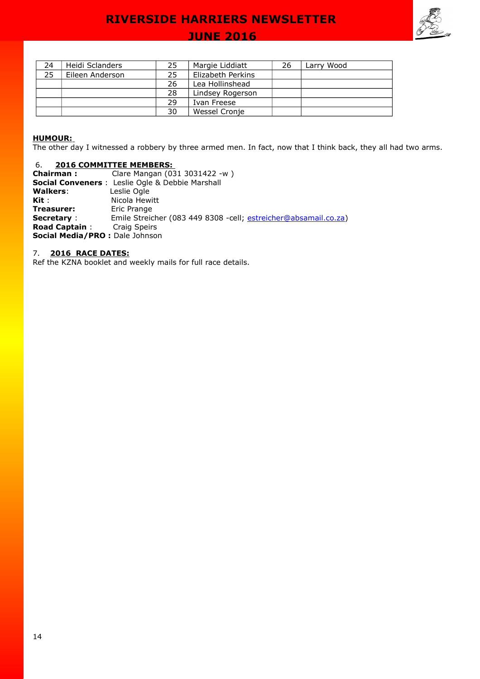## **JUNE 2016**



| 24 | Heidi Sclanders | 25 | Margie Liddiatt   | 26 | Larry Wood |
|----|-----------------|----|-------------------|----|------------|
| 25 | Eileen Anderson | 25 | Elizabeth Perkins |    |            |
|    |                 | 26 | Lea Hollinshead   |    |            |
|    |                 | 28 | Lindsey Rogerson  |    |            |
|    |                 | 29 | Ivan Freese       |    |            |
|    |                 | 30 | Wessel Cronje     |    |            |

#### **HUMOUR:**

The other day I witnessed a robbery by three armed men. In fact, now that I think back, they all had two arms.

#### 6. **2016 COMMITTEE MEMBERS:**

**Chairman :** Clare Mangan (031 3031422 -w ) **Social Conveners** : Leslie Ogle & Debbie Marshall<br>**Walkers**: Leslie Ogle **Walkers:<br>Kit : Kit :** Nicola Hewitt<br> **Treasurer:** Eric Prange **Treasurer:** Eric Prange<br> **Secretary**: Emile Streic Emile Streicher (083 449 8308 -cell; <u>estreicher@absamail.co.za</u>)<br>Craig Speirs **Road Captain : Social Media/PRO :** Dale Johnson

### 7. **2016 RACE DATES:**

Ref the KZNA booklet and weekly mails for full race details.